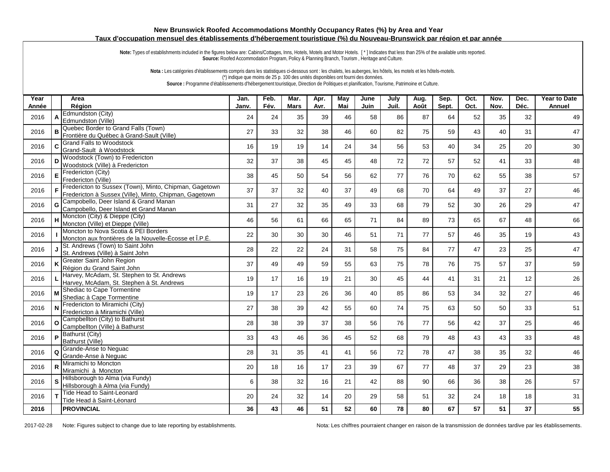## **New Brunswick Roofed Accommodations Monthly Occupancy Rates (%) by Area and Year Taux d'occupation mensuel des établissements d'hébergement touristique (%) du Nouveau-Brunswick par région et par année**

Note: Types of establishments included in the figures below are: Cabins/Cottages, Inns, Hotels, Motels and Motor Hotels. [\*] Indicates that less than 25% of the available units reported. **Source:** Roofed Accommodation Program, Policy & Planning Branch, Tourism , Heritage and Culture.

**Nota :** Les catégories d'établissements compris dans les statistiques ci-dessous sont : les chalets, les auberges, les hôtels, les motels et les hôtels-motels. (\*) indique que moins de 25 p. 100 des unités disponibles ont fourni des données. **Source :** Programme d'établissements d'hébergement touristique, Direction de Politiques et planification, Tourisme, Patrimoine et Culture.

| Year<br>Année |          | Area<br>Région                                                                                                   | Jan.<br>Janv. | Feb.<br>Fév. | Mar.<br><b>Mars</b> | Apr.<br>Avr. | May<br>Mai | June<br>Juin | July<br>Juil. | Aug.<br>Août | Sep.<br>Sept. | Oct.<br>Oct. | Nov.<br>Nov. | Dec.<br>Déc. | <b>Year to Date</b><br>Annuel |
|---------------|----------|------------------------------------------------------------------------------------------------------------------|---------------|--------------|---------------------|--------------|------------|--------------|---------------|--------------|---------------|--------------|--------------|--------------|-------------------------------|
| 2016          | A        | Edmundston (Citv)                                                                                                | 24            | 24           | 35                  | 39           | 46         | 58           | 86            | 87           | 64            | 52           | 35           | 32           | 49                            |
|               |          | Edmundston (Ville)<br>Quebec Border to Grand Falls (Town)                                                        |               |              |                     |              |            |              |               |              |               |              |              |              |                               |
| 2016          | B        | Frontière du Québec à Grand-Sault (Ville)                                                                        | 27            | 33           | 32                  | 38           | 46         | 60           | 82            | 75           | 59            | 43           | 40           | 31           | 47                            |
| 2016          | C.       | <b>Grand Falls to Woodstock</b><br>Grand-Sault à Woodstock                                                       | 16            | 19           | 19                  | 14           | 24         | 34           | 56            | 53           | 40            | 34           | 25           | 20           | 30                            |
| 2016          | D        | Woodstock (Town) to Fredericton<br>Woodstock (Ville) à Fredericton                                               | 32            | 37           | 38                  | 45           | 45         | 48           | 72            | 72           | 57            | 52           | 41           | 33           | 48                            |
| 2016          |          | Fredericton (City)<br>Fredericton (Ville)                                                                        | 38            | 45           | 50                  | 54           | 56         | 62           | 77            | 76           | 70            | 62           | 55           | 38           | 57                            |
| 2016          | F        | Fredericton to Sussex (Town), Minto, Chipman, Gagetown<br>Fredericton à Sussex (Ville), Minto, Chipman, Gagetown | 37            | 37           | 32                  | 40           | 37         | 49           | 68            | 70           | 64            | 49           | 37           | 27           | 46                            |
| 2016          | G        | Campobello, Deer Island & Grand Manan<br>Campobello, Deer Island et Grand Manan                                  | 31            | 27           | 32                  | 35           | 49         | 33           | 68            | 79           | 52            | 30           | 26           | 29           | 47                            |
| 2016          |          | H Moncton (City) & Dieppe (City)<br>Moncton (Ville) et Dieppe (Ville)                                            | 46            | 56           | 61                  | 66           | 65         | 71           | 84            | 89           | 73            | 65           | 67           | 48           | 66                            |
| 2016          |          | Moncton to Nova Scotia & PEI Borders<br>Moncton aux frontières de la Nouvelle-Écosse et Î.P.É.                   | 22            | 30           | 30                  | 30           | 46         | 51           | 71            | 77           | 57            | 46           | 35           | 19           | 43                            |
| 2016          |          | St. Andrews (Town) to Saint John<br>St. Andrews (Ville) à Saint John                                             | 28            | 22           | 22                  | 24           | 31         | 58           | 75            | 84           | 77            | 47           | 23           | 25           | 47                            |
| 2016          |          | Greater Saint John Region<br>Région du Grand Saint John                                                          | 37            | 49           | 49                  | 59           | 55         | 63           | 75            | 78           | 76            | 75           | 57           | 37           | 59                            |
| 2016          |          | Harvey, McAdam, St. Stephen to St. Andrews<br>Harvey, McAdam, St. Stephen à St. Andrews                          | 19            | 17           | 16                  | 19           | 21         | 30           | 45            | 44           | 41            | 31           | 21           | 12           | 26                            |
| 2016          | M        | Shediac to Cape Tormentine<br>Shediac à Cape Tormentine                                                          | 19            | 17           | 23                  | 26           | 36         | 40           | 85            | 86           | 53            | 34           | 32           | 27           | 46                            |
| 2016          | N        | Fredericton to Miramichi (City)<br>Fredericton à Miramichi (Ville)                                               | 27            | 38           | 39                  | 42           | 55         | 60           | 74            | 75           | 63            | 50           | 50           | 33           | 51                            |
| 2016          |          | Campbellton (City) to Bathurst<br>Campbellton (Ville) à Bathurst                                                 | 28            | 38           | 39                  | 37           | 38         | 56           | 76            | 77           | 56            | 42           | 37           | 25           | 46                            |
| 2016          |          | P Bathurst (City)<br>Bathurst (Ville)                                                                            | 33            | 43           | 46                  | 36           | 45         | 52           | 68            | 79           | 48            | 43           | 43           | 33           | 48                            |
| 2016          | $\Omega$ | Grande-Anse to Neguac<br>Grande-Anse à Nequac                                                                    | 28            | 31           | 35                  | 41           | 41         | 56           | 72            | 78           | 47            | 38           | 35           | 32           | 46                            |
| 2016          | R        | Miramichi to Moncton<br>Miramichi à Moncton                                                                      | 20            | 18           | 16                  | 17           | 23         | 39           | 67            | 77           | 48            | 37           | 29           | 23           | 38                            |
| 2016          |          | Hillsborough to Alma (via Fundy)<br>Hillsborough à Alma (via Fundy)                                              | 6             | 38           | 32                  | 16           | 21         | 42           | 88            | 90           | 66            | 36           | 38           | 26           | 57                            |
| 2016          |          | Tide Head to Saint-Leonard<br>Tide Head à Saint-Léonard                                                          | 20            | 24           | 32                  | 14           | 20         | 29           | 58            | 51           | 32            | 24           | 18           | 18           | 31                            |
| 2016          |          | <b>PROVINCIAL</b>                                                                                                | 36            | 43           | 46                  | 51           | 52         | 60           | 78            | 80           | 67            | 57           | 51           | 37           | 55                            |

2017-02-28 Note: Figures subject to change due to late reporting by establishments. Nota: Les chiffres pourraient changer en raison de la transmission de données tardive par les établissements.